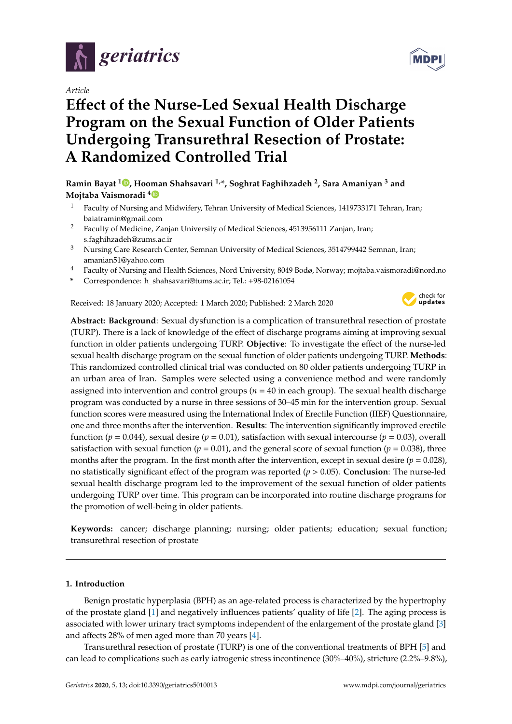

*Article*

# **E**ff**ect of the Nurse-Led Sexual Health Discharge Program on the Sexual Function of Older Patients Undergoing Transurethral Resection of Prostate: A Randomized Controlled Trial**

# **Ramin Bayat <sup>1</sup> [,](https://orcid.org/0000-0002-5430-9682) Hooman Shahsavari 1,\*, Soghrat Faghihzadeh <sup>2</sup> , Sara Amaniyan <sup>3</sup> and Mojtaba Vaismoradi [4](https://orcid.org/0000-0002-5157-4886)**

- <sup>1</sup> Faculty of Nursing and Midwifery, Tehran University of Medical Sciences, 1419733171 Tehran, Iran; baiatramin@gmail.com
- <sup>2</sup> Faculty of Medicine, Zanjan University of Medical Sciences, 4513956111 Zanjan, Iran; s.faghihzadeh@zums.ac.ir
- <sup>3</sup> Nursing Care Research Center, Semnan University of Medical Sciences, 3514799442 Semnan, Iran; amanian51@yahoo.com
- <sup>4</sup> Faculty of Nursing and Health Sciences, Nord University, 8049 Bodø, Norway; mojtaba.vaismoradi@nord.no
- **\*** Correspondence: h\_shahsavari@tums.ac.ir; Tel.: +98-02161054

Received: 18 January 2020; Accepted: 1 March 2020; Published: 2 March 2020



**Abstract: Background**: Sexual dysfunction is a complication of transurethral resection of prostate (TURP). There is a lack of knowledge of the effect of discharge programs aiming at improving sexual function in older patients undergoing TURP. **Objective**: To investigate the effect of the nurse-led sexual health discharge program on the sexual function of older patients undergoing TURP. **Methods**: This randomized controlled clinical trial was conducted on 80 older patients undergoing TURP in an urban area of Iran. Samples were selected using a convenience method and were randomly assigned into intervention and control groups ( $n = 40$  in each group). The sexual health discharge program was conducted by a nurse in three sessions of 30–45 min for the intervention group. Sexual function scores were measured using the International Index of Erectile Function (IIEF) Questionnaire, one and three months after the intervention. **Results**: The intervention significantly improved erectile function ( $p = 0.044$ ), sexual desire ( $p = 0.01$ ), satisfaction with sexual intercourse ( $p = 0.03$ ), overall satisfaction with sexual function ( $p = 0.01$ ), and the general score of sexual function ( $p = 0.038$ ), three months after the program. In the first month after the intervention, except in sexual desire  $(p = 0.028)$ , no statistically significant effect of the program was reported (*p* > 0.05). **Conclusion**: The nurse-led sexual health discharge program led to the improvement of the sexual function of older patients undergoing TURP over time. This program can be incorporated into routine discharge programs for the promotion of well-being in older patients.

**Keywords:** cancer; discharge planning; nursing; older patients; education; sexual function; transurethral resection of prostate

#### **1. Introduction**

Benign prostatic hyperplasia (BPH) as an age-related process is characterized by the hypertrophy of the prostate gland [\[1\]](#page-7-0) and negatively influences patients' quality of life [\[2\]](#page-7-1). The aging process is associated with lower urinary tract symptoms independent of the enlargement of the prostate gland [\[3\]](#page-7-2) and affects 28% of men aged more than 70 years [\[4\]](#page-7-3).

Transurethral resection of prostate (TURP) is one of the conventional treatments of BPH [\[5\]](#page-7-4) and can lead to complications such as early iatrogenic stress incontinence (30%–40%), stricture (2.2%–9.8%),

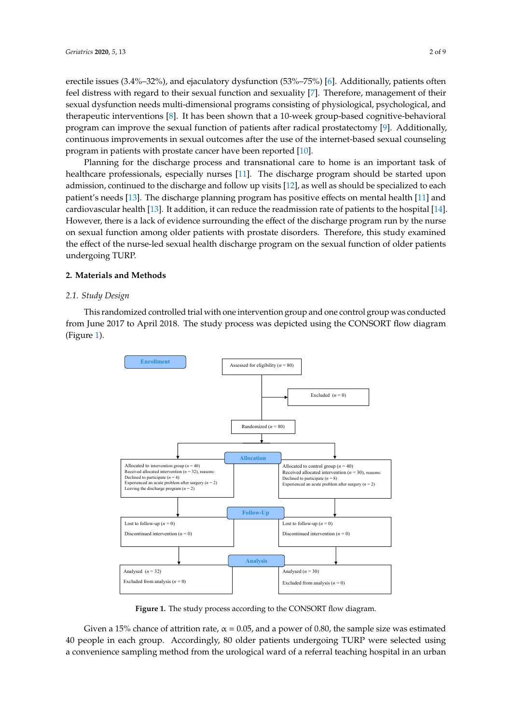erectile issues (3.4%–32%), and ejaculatory dysfunction (53%–75%) [\[6\]](#page-8-0). Additionally, patients often feel distress with regard to their sexual function and sexuality [\[7\]](#page-8-1). Therefore, management of their sexual dysfunction needs multi-dimensional programs consisting of physiological, psychological, and therapeutic interventions [8]. It has been shown that a 10-week group-based cognitive-behavioral program can improve the sexual function of patients after radical prostatectomy [\[9\]](#page-8-3). Additionally, continuous improvements in sexual outcomes after the use of the internet-based sexual counseling program in patients with prostate cancer have been reported [\[10\]](#page-8-4). process is associated with lower urinary tract symptoms independent of the enlargement of the  $p$  issues (3.4%-32%), and ejaculatory dysitinction (33%-73%)  $\mu$  is a partner with problem cancel have been reported  $\mu$ .

Planning for the discharge process and transnational care to home is an important task of healthcare professionals, especially nurses [\[11\]](#page-8-5). The discharge program should be started upon admission, continued to the discharge and follow up visits [\[12\]](#page-8-6), as well as should be specialized to each patient's needs [13]. The discharge planning program has positive effects on mental health [\[11\]](#page-8-5) and cardiovascular health [\[13\]](#page-8-7). It addition, it can reduce the readmission rate of patients to the hospital [\[14\]](#page-8-8). However, there is a lack of evidence surrounding the effect of the discharge program run by the nurse on sexual function among older patients with prostate disorders. Therefore, this study examined the effect of the nurse-led sexual health discharge program on the sexual function of older patients undergoing TURP. had function among other patients with problem disorders. Therefore, this staty examined

#### **2. Materials and Methods** older patients undergoing TURP. The sum of the set of the set of the set of the set of the set of the set of the set of the set of the set of the set of the set of the set of the set of the set of the set of the set of th

#### *2.1. Study Design*

This randomized controlled trial with one intervention group and one control group was conducted *2.1. Study Design* from June 2017 to April 2018. The study process was depicted using the CONSORT flow diagram (Figure [1\)](#page-1-0). conducted from  $\mathcal{L}$  to  $\mathcal{L}$  the study process was depicted using the CONSORT flows was depicted using the CONSORT flows was depicted using the CONSORT flows was depicted using the CONSORT flows was depicted using

<span id="page-1-0"></span>

Figure 1. The study process according to the CONSORT flow diagram.

Given a 15% chance of attrition rate,  $\alpha = 0.05$ , and a power of 0.80, the sample size was estimated 40 people in each group. Accordingly, 80 older patients undergoing TURP were selected using a convenience sampling method from the urological ward of a referral teaching hospital in an urban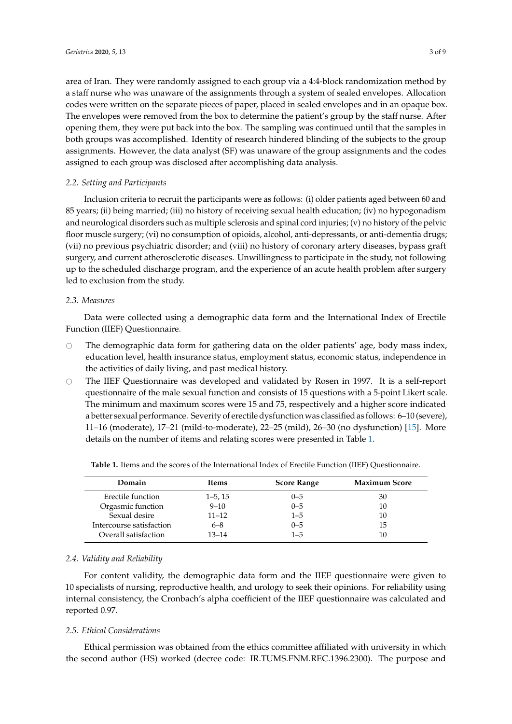area of Iran. They were randomly assigned to each group via a 4:4-block randomization method by a staff nurse who was unaware of the assignments through a system of sealed envelopes. Allocation codes were written on the separate pieces of paper, placed in sealed envelopes and in an opaque box. The envelopes were removed from the box to determine the patient's group by the staff nurse. After opening them, they were put back into the box. The sampling was continued until that the samples in both groups was accomplished. Identity of research hindered blinding of the subjects to the group assignments. However, the data analyst (SF) was unaware of the group assignments and the codes assigned to each group was disclosed after accomplishing data analysis.

### *2.2. Setting and Participants*

Inclusion criteria to recruit the participants were as follows: (i) older patients aged between 60 and 85 years; (ii) being married; (iii) no history of receiving sexual health education; (iv) no hypogonadism and neurological disorders such as multiple sclerosis and spinal cord injuries; (v) no history of the pelvic floor muscle surgery; (vi) no consumption of opioids, alcohol, anti-depressants, or anti-dementia drugs; (vii) no previous psychiatric disorder; and (viii) no history of coronary artery diseases, bypass graft surgery, and current atherosclerotic diseases. Unwillingness to participate in the study, not following up to the scheduled discharge program, and the experience of an acute health problem after surgery led to exclusion from the study.

## *2.3. Measures*

Data were collected using a demographic data form and the International Index of Erectile Function (IIEF) Questionnaire.

- $\circ$  The demographic data form for gathering data on the older patients' age, body mass index, education level, health insurance status, employment status, economic status, independence in the activities of daily living, and past medical history.
- $\circ$  The IIEF Questionnaire was developed and validated by Rosen in 1997. It is a self-report questionnaire of the male sexual function and consists of 15 questions with a 5-point Likert scale. The minimum and maximum scores were 15 and 75, respectively and a higher score indicated a better sexual performance. Severity of erectile dysfunction was classified as follows: 6–10 (severe), 11–16 (moderate), 17–21 (mild-to-moderate), 22–25 (mild), 26–30 (no dysfunction) [\[15\]](#page-8-9). More details on the number of items and relating scores were presented in Table [1.](#page-2-0)

| <b>Score Range</b> |                      |
|--------------------|----------------------|
|                    | <b>Maximum Score</b> |
| $0 - 5$            | 30                   |
| $0 - 5$            | 10                   |
| $1 - 5$            | 10                   |
| $0 - 5$            | 15                   |
| $1 - 5$            | 10                   |
|                    |                      |

<span id="page-2-0"></span>**Table 1.** Items and the scores of the International Index of Erectile Function (IIEF) Questionnaire.

#### *2.4. Validity and Reliability*

For content validity, the demographic data form and the IIEF questionnaire were given to 10 specialists of nursing, reproductive health, and urology to seek their opinions. For reliability using internal consistency, the Cronbach's alpha coefficient of the IIEF questionnaire was calculated and reported 0.97.

#### *2.5. Ethical Considerations*

Ethical permission was obtained from the ethics committee affiliated with university in which the second author (HS) worked (decree code: IR.TUMS.FNM.REC.1396.2300). The purpose and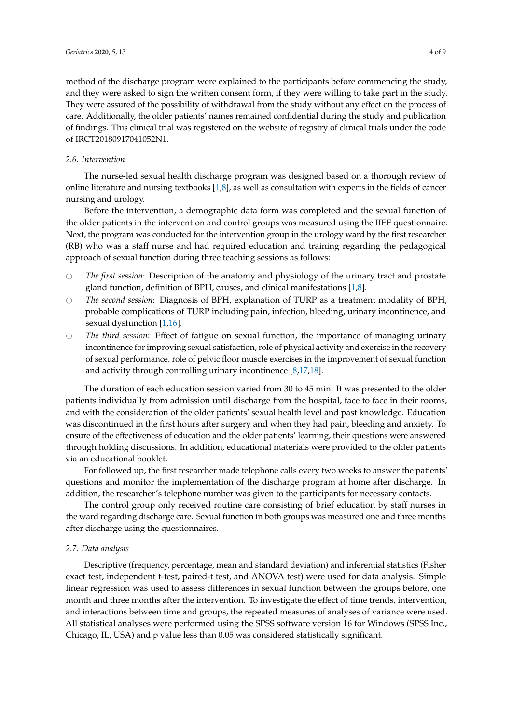method of the discharge program were explained to the participants before commencing the study, and they were asked to sign the written consent form, if they were willing to take part in the study. They were assured of the possibility of withdrawal from the study without any effect on the process of care. Additionally, the older patients' names remained confidential during the study and publication of findings. This clinical trial was registered on the website of registry of clinical trials under the code of IRCT20180917041052N1.

#### *2.6. Intervention*

The nurse-led sexual health discharge program was designed based on a thorough review of online literature and nursing textbooks  $[1,8]$  $[1,8]$ , as well as consultation with experts in the fields of cancer nursing and urology.

Before the intervention, a demographic data form was completed and the sexual function of the older patients in the intervention and control groups was measured using the IIEF questionnaire. Next, the program was conducted for the intervention group in the urology ward by the first researcher (RB) who was a staff nurse and had required education and training regarding the pedagogical approach of sexual function during three teaching sessions as follows:

- # *The first session*: Description of the anatomy and physiology of the urinary tract and prostate gland function, definition of BPH, causes, and clinical manifestations [\[1](#page-7-0)[,8\]](#page-8-2).
- # *The second session*: Diagnosis of BPH, explanation of TURP as a treatment modality of BPH, probable complications of TURP including pain, infection, bleeding, urinary incontinence, and sexual dysfunction [\[1,](#page-7-0)[16\]](#page-8-10).
- # *The third session*: Effect of fatigue on sexual function, the importance of managing urinary incontinence for improving sexual satisfaction, role of physical activity and exercise in the recovery of sexual performance, role of pelvic floor muscle exercises in the improvement of sexual function and activity through controlling urinary incontinence [\[8](#page-8-2)[,17](#page-8-11)[,18\]](#page-8-12).

The duration of each education session varied from 30 to 45 min. It was presented to the older patients individually from admission until discharge from the hospital, face to face in their rooms, and with the consideration of the older patients' sexual health level and past knowledge. Education was discontinued in the first hours after surgery and when they had pain, bleeding and anxiety. To ensure of the effectiveness of education and the older patients' learning, their questions were answered through holding discussions. In addition, educational materials were provided to the older patients via an educational booklet.

For followed up, the first researcher made telephone calls every two weeks to answer the patients' questions and monitor the implementation of the discharge program at home after discharge. In addition, the researcher's telephone number was given to the participants for necessary contacts.

The control group only received routine care consisting of brief education by staff nurses in the ward regarding discharge care. Sexual function in both groups was measured one and three months after discharge using the questionnaires.

#### *2.7. Data analysis*

Descriptive (frequency, percentage, mean and standard deviation) and inferential statistics (Fisher exact test, independent t-test, paired-t test, and ANOVA test) were used for data analysis. Simple linear regression was used to assess differences in sexual function between the groups before, one month and three months after the intervention. To investigate the effect of time trends, intervention, and interactions between time and groups, the repeated measures of analyses of variance were used. All statistical analyses were performed using the SPSS software version 16 for Windows (SPSS Inc., Chicago, IL, USA) and p value less than 0.05 was considered statistically significant.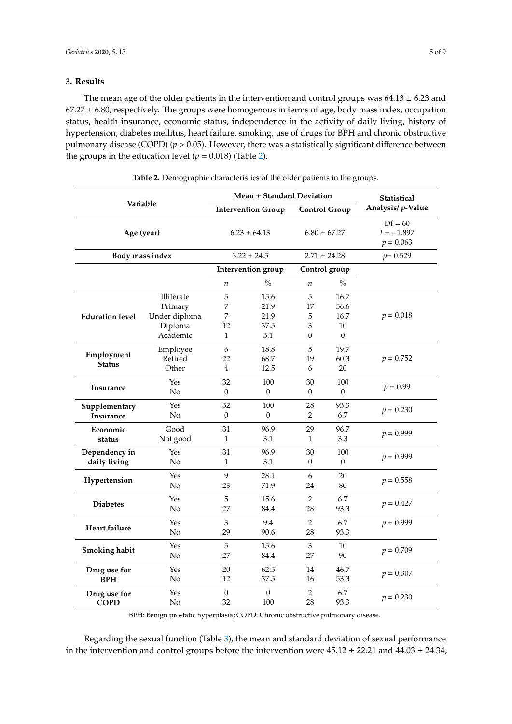## **3. Results**

The mean age of the older patients in the intervention and control groups was  $64.13 \pm 6.23$  and  $67.27 \pm 6.80$ , respectively. The groups were homogenous in terms of age, body mass index, occupation status, health insurance, economic status, independence in the activity of daily living, history of hypertension, diabetes mellitus, heart failure, smoking, use of drugs for BPH and chronic obstructive pulmonary disease (COPD) (*p* > 0.05). However, there was a statistically significant difference between the groups in the education level  $(p = 0.018)$  (Table [2\)](#page-4-0).

<span id="page-4-0"></span>

|                               | Mean $\pm$ Standard Deviation                                 |                                   |                                     |                                   | <b>Statistical</b>                         |                                          |
|-------------------------------|---------------------------------------------------------------|-----------------------------------|-------------------------------------|-----------------------------------|--------------------------------------------|------------------------------------------|
| Variable                      |                                                               | <b>Intervention Group</b>         |                                     | <b>Control Group</b>              |                                            | Analysis/ p-Value                        |
| Age (year)                    |                                                               | $6.23 \pm 64.13$                  |                                     | $6.80 \pm 67.27$                  |                                            | $Df = 60$<br>$t = -1.897$<br>$p = 0.063$ |
| Body mass index               |                                                               | $3.22 \pm 24.5$                   |                                     | $2.71 \pm 24.28$                  |                                            | $p = 0.529$                              |
|                               |                                                               |                                   | <b>Intervention</b> group           | Control group                     |                                            |                                          |
|                               |                                                               | $\it n$                           | $\frac{0}{0}$                       | $\it n$                           | $\frac{0}{0}$                              |                                          |
| <b>Education level</b>        | Illiterate<br>Primary<br>Under diploma<br>Diploma<br>Academic | 5<br>7<br>7<br>12<br>$\mathbf{1}$ | 15.6<br>21.9<br>21.9<br>37.5<br>3.1 | 5<br>17<br>5<br>3<br>$\mathbf{0}$ | 16.7<br>56.6<br>16.7<br>10<br>$\mathbf{0}$ | $p = 0.018$                              |
| Employment<br><b>Status</b>   | Employee<br>Retired<br>Other                                  | 6<br>22<br>$\overline{4}$         | 18.8<br>68.7<br>12.5                | 5<br>19<br>6                      | 19.7<br>60.3<br>20                         | $p = 0.752$                              |
| Insurance                     | Yes<br>No                                                     | 32<br>$\overline{0}$              | 100<br>$\Omega$                     | 30<br>$\mathbf{0}$                | 100<br>$\theta$                            | $p = 0.99$                               |
| Supplementary<br>Insurance    | Yes<br>No                                                     | 32<br>$\Omega$                    | 100<br>$\Omega$                     | 28<br>2                           | 93.3<br>6.7                                | $p = 0.230$                              |
| Economic<br>status            | Good<br>Not good                                              | 31<br>$\mathbf{1}$                | 96.9<br>3.1                         | 29<br>1                           | 96.7<br>3.3                                | $p = 0.999$                              |
| Dependency in<br>daily living | Yes<br>No                                                     | 31<br>1                           | 96.9<br>3.1                         | 30<br>$\theta$                    | 100<br>$\theta$                            | $p = 0.999$                              |
| Hypertension                  | Yes<br>No                                                     | 9<br>23                           | 28.1<br>71.9                        | 6<br>24                           | 20<br>80                                   | $p = 0.558$                              |
| <b>Diabetes</b>               | Yes<br>N <sub>o</sub>                                         | 5<br>27                           | 15.6<br>84.4                        | 2<br>28                           | 6.7<br>93.3                                | $p = 0.427$                              |
| Heart failure                 | Yes<br>No                                                     | 3<br>29                           | 9.4<br>90.6                         | 2<br>28                           | 6.7<br>93.3                                | $p = 0.999$                              |
| Smoking habit                 | Yes<br>No                                                     | 5<br>27                           | 15.6<br>84.4                        | 3<br>27                           | 10<br>90                                   | $p = 0.709$                              |
| Drug use for<br><b>BPH</b>    | Yes<br>No                                                     | 20<br>12                          | 62.5<br>37.5                        | 14<br>16                          | 46.7<br>53.3                               | $p = 0.307$                              |
| Drug use for<br><b>COPD</b>   | Yes<br>No                                                     | $\theta$<br>32                    | $\mathbf{0}$<br>100                 | 2<br>28                           | 6.7<br>93.3                                | $p = 0.230$                              |

**Table 2.** Demographic characteristics of the older patients in the groups.

BPH: Benign prostatic hyperplasia; COPD: Chronic obstructive pulmonary disease.

Regarding the sexual function (Table [3\)](#page-5-0), the mean and standard deviation of sexual performance in the intervention and control groups before the intervention were  $45.12 \pm 22.21$  and  $44.03 \pm 24.34$ ,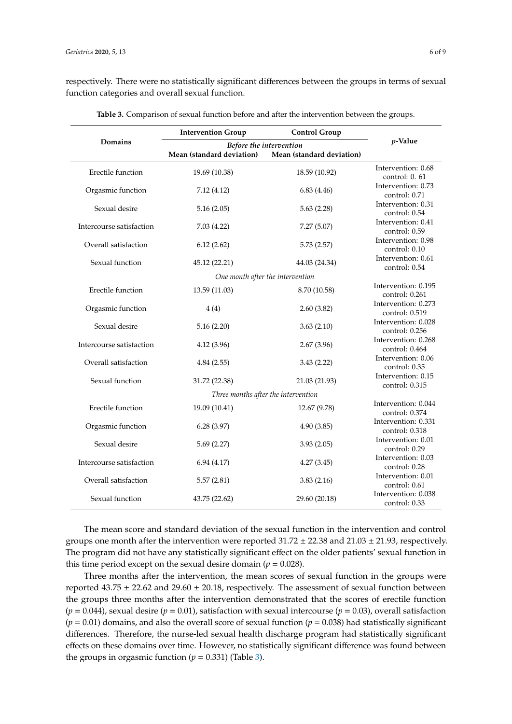respectively. There were no statistically significant differences between the groups in terms of sexual function categories and overall sexual function.

<span id="page-5-0"></span>

|                          | <b>Intervention Group</b> | <b>Control Group</b>                |                                         |
|--------------------------|---------------------------|-------------------------------------|-----------------------------------------|
| Domains                  | Before the intervention   | $p$ -Value                          |                                         |
|                          | Mean (standard deviation) | Mean (standard deviation)           |                                         |
| Erectile function        | 19.69 (10.38)             | 18.59 (10.92)                       | Intervention: 0.68<br>control: 0.61     |
| Orgasmic function        | 7.12(4.12)                | 6.83(4.46)                          | Intervention: 0.73<br>control: 0.71     |
| Sexual desire            | 5.16(2.05)                | 5.63(2.28)                          | Intervention: 0.31<br>control: 0.54     |
| Intercourse satisfaction | 7.03(4.22)                | 7.27(5.07)                          | Intervention: 0.41<br>control: 0.59     |
| Overall satisfaction     | 6.12(2.62)                | 5.73(2.57)                          | Intervention: 0.98<br>control: 0.10     |
| Sexual function          | 45.12 (22.21)             | 44.03 (24.34)                       | Intervention: 0.61<br>control: 0.54     |
|                          |                           | One month after the intervention    |                                         |
| Erectile function        | 13.59 (11.03)             | 8.70 (10.58)                        | Intervention: 0.195<br>control: 0.261   |
| Orgasmic function        | 4(4)                      | 2.60(3.82)                          | Intervention: 0.273<br>control: 0.519   |
| Sexual desire            | 5.16(2.20)                | 3.63(2.10)                          | Intervention: 0.028<br>control: 0.256   |
| Intercourse satisfaction | 4.12(3.96)                | 2.67(3.96)                          | Intervention: 0.268<br>control: $0.464$ |
| Overall satisfaction     | 4.84(2.55)                | 3.43(2.22)                          | Intervention: 0.06<br>control: 0.35     |
| Sexual function          | 31.72 (22.38)             | 21.03 (21.93)                       | Intervention: 0.15<br>control: $0.315$  |
|                          |                           | Three months after the intervention |                                         |
| Erectile function        | 19.09 (10.41)             | 12.67 (9.78)                        | Intervention: 0.044<br>control: 0.374   |
| Orgasmic function        | 6.28(3.97)                | 4.90(3.85)                          | Intervention: 0.331<br>control: 0.318   |
| Sexual desire            | 5.69(2.27)                | 3.93(2.05)                          | Intervention: 0.01<br>control: 0.29     |
| Intercourse satisfaction | 6.94(4.17)                | 4.27(3.45)                          | Intervention: 0.03<br>control: 0.28     |
| Overall satisfaction     | 5.57(2.81)                | 3.83(2.16)                          | Intervention: 0.01<br>control: 0.61     |
| Sexual function          | 43.75 (22.62)             | 29.60 (20.18)                       | Intervention: 0.038<br>control: 0.33    |

**Table 3.** Comparison of sexual function before and after the intervention between the groups.

The mean score and standard deviation of the sexual function in the intervention and control groups one month after the intervention were reported  $31.72 \pm 22.38$  and  $21.03 \pm 21.93$ , respectively. The program did not have any statistically significant effect on the older patients' sexual function in this time period except on the sexual desire domain ( $p = 0.028$ ).

Three months after the intervention, the mean scores of sexual function in the groups were reported  $43.75 \pm 22.62$  and  $29.60 \pm 20.18$ , respectively. The assessment of sexual function between the groups three months after the intervention demonstrated that the scores of erectile function  $(p = 0.044)$ , sexual desire  $(p = 0.01)$ , satisfaction with sexual intercourse  $(p = 0.03)$ , overall satisfaction  $(p = 0.01)$  domains, and also the overall score of sexual function  $(p = 0.038)$  had statistically significant differences. Therefore, the nurse-led sexual health discharge program had statistically significant effects on these domains over time. However, no statistically significant difference was found between the groups in orgasmic function  $(p = 0.331)$  (Table [3\)](#page-5-0).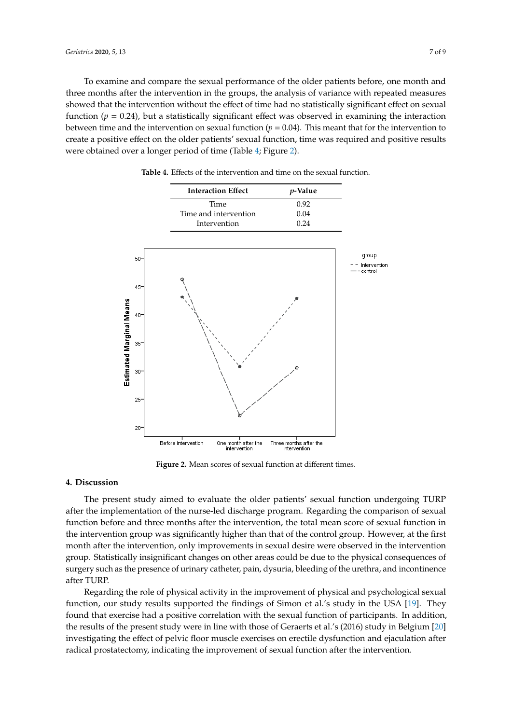To examine and compare the sexual performance of the older patients before, one month and To examine and compare the sexual performance of the older patients before, one month and three months after the intervention in the groups, the analysis of variance with repeated measures three months after the intervention in the groups, the analysis of variance with repeated measures showed that the intervention without the effect of time had no statistically significant effect on sexual function ( $p = 0.24$ ), but a statistically significant effect was observed in examining the interaction between time and the intervention on sexual function ( $p = 0.04$ ). This meant that for the intervention to create a positive effect on the older patients' sexual function, time was required and positive results were obtained over a longer period of time (Table [4;](#page-6-0) Figure [2\)](#page-6-1).

<span id="page-6-1"></span><span id="page-6-0"></span>

|                          |        | <b>Interaction Effect</b> |                                     | $p$ -Value                             |              |
|--------------------------|--------|---------------------------|-------------------------------------|----------------------------------------|--------------|
|                          |        | Time                      |                                     | 0.92                                   |              |
|                          |        | Time and intervention     |                                     | 0.04                                   |              |
|                          |        | Intervention              |                                     | 0.24                                   |              |
|                          |        |                           |                                     |                                        |              |
|                          |        |                           |                                     |                                        | group        |
|                          | 50     |                           |                                     |                                        | Intervention |
|                          |        |                           |                                     |                                        | control      |
|                          | $45 -$ |                           |                                     |                                        |              |
|                          |        |                           |                                     |                                        |              |
| Estimated Marginal Means | $40 -$ |                           |                                     |                                        |              |
|                          |        |                           |                                     |                                        |              |
|                          |        |                           |                                     |                                        |              |
|                          | $35 -$ |                           |                                     |                                        |              |
|                          |        |                           |                                     |                                        |              |
|                          |        |                           |                                     |                                        |              |
|                          | $30 -$ |                           |                                     |                                        |              |
|                          |        |                           |                                     |                                        |              |
|                          | $25 -$ |                           |                                     |                                        |              |
|                          |        |                           |                                     |                                        |              |
|                          |        |                           |                                     |                                        |              |
|                          | $20 -$ |                           |                                     |                                        |              |
|                          |        | Before intervention       | One month after the<br>intervention | Three months after the<br>intervention |              |

**Table 4.** Effects of the intervention and time on the sexual function. **Table 4.** Effects of the intervention and time on the sexual function.

**Figure 2.** Mean scores of sexual function at different times. **Figure 2.** Mean scores of sexual function at different times.

# **4. Discussion 4. Discussion**

The present study aimed to evaluate the older patients' sexual function undergoing TURP after the implementation of the nurse-led discharge program. Regarding the comparison of sexual function before and three months after the intervention, the total mean score of sexual function in the intervention group was significantly higher than that of the control group. However, at the first the intervention group was significantly higher than that of the control group. However, at the first month after the intervention, only improvements in sexual desire were observed in the intervention month after the intervention, only improvements in sexual desire were observed in the intervention group. Statistically insignificant changes on other areas could be due to the physical consequences of group. Statistically insignificant changes on other areas could be due to the physical consequences of surgery such as the presence of urinary catheter, pain, dysuria, bleeding of the urethra, and incontinence after TURP.

Regarding the role of physical activity in the improvement of physical and psychological sexual Regarding the role of physical activity in the improvement of physical and psychological sexual function, our study results supported the findings of Simon et al.'s study in the USA [19]. They function, our study results supported the findings of Simon et al.'s study in the USA [\[19\]](#page-8-13). They found that exercise had a positive correlation with the sexual function of participants. In addition, found that exercise had a positive correlation with the sexual function of participants. In addition, the results of the present study were in line with those of Geraerts et al.'s (2016) study in Belgium [\[20\]](#page-8-14) investigating the effect of pelvic floor muscle exercises on erectile dysfunction and ejaculation after radical prostatectomy, indicating the improvement of sexual function after the intervention.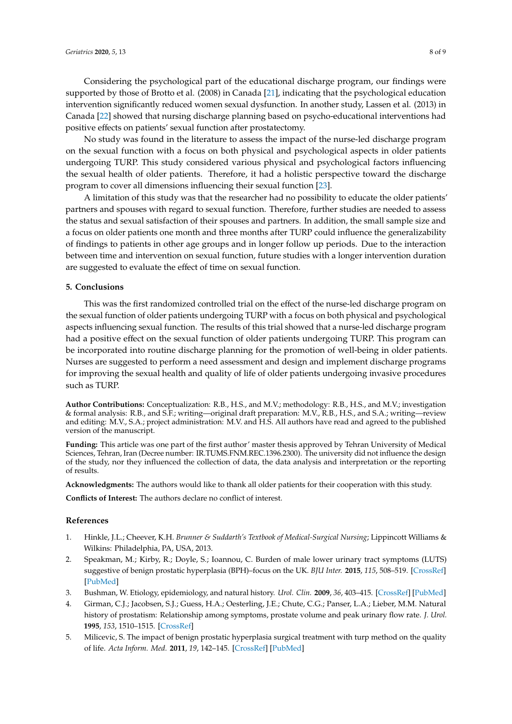Considering the psychological part of the educational discharge program, our findings were supported by those of Brotto et al. (2008) in Canada [\[21\]](#page-8-15), indicating that the psychological education intervention significantly reduced women sexual dysfunction. In another study, Lassen et al. (2013) in Canada [\[22\]](#page-8-16) showed that nursing discharge planning based on psycho-educational interventions had positive effects on patients' sexual function after prostatectomy.

No study was found in the literature to assess the impact of the nurse-led discharge program on the sexual function with a focus on both physical and psychological aspects in older patients undergoing TURP. This study considered various physical and psychological factors influencing the sexual health of older patients. Therefore, it had a holistic perspective toward the discharge program to cover all dimensions influencing their sexual function [\[23\]](#page-8-17).

A limitation of this study was that the researcher had no possibility to educate the older patients' partners and spouses with regard to sexual function. Therefore, further studies are needed to assess the status and sexual satisfaction of their spouses and partners. In addition, the small sample size and a focus on older patients one month and three months after TURP could influence the generalizability of findings to patients in other age groups and in longer follow up periods. Due to the interaction between time and intervention on sexual function, future studies with a longer intervention duration are suggested to evaluate the effect of time on sexual function.

#### **5. Conclusions**

This was the first randomized controlled trial on the effect of the nurse-led discharge program on the sexual function of older patients undergoing TURP with a focus on both physical and psychological aspects influencing sexual function. The results of this trial showed that a nurse-led discharge program had a positive effect on the sexual function of older patients undergoing TURP. This program can be incorporated into routine discharge planning for the promotion of well-being in older patients. Nurses are suggested to perform a need assessment and design and implement discharge programs for improving the sexual health and quality of life of older patients undergoing invasive procedures such as TURP.

**Author Contributions:** Conceptualization: R.B., H.S., and M.V.; methodology: R.B., H.S., and M.V.; investigation & formal analysis: R.B., and S.F.; writing—original draft preparation: M.V., R.B., H.S., and S.A.; writing—review and editing: M.V., S.A.; project administration: M.V. and H.S. All authors have read and agreed to the published version of the manuscript.

**Funding:** This article was one part of the first author' master thesis approved by Tehran University of Medical Sciences, Tehran, Iran (Decree number: IR.TUMS.FNM.REC.1396.2300). The university did not influence the design of the study, nor they influenced the collection of data, the data analysis and interpretation or the reporting of results.

**Acknowledgments:** The authors would like to thank all older patients for their cooperation with this study.

**Conflicts of Interest:** The authors declare no conflict of interest.

#### **References**

- <span id="page-7-0"></span>1. Hinkle, J.L.; Cheever, K.H. *Brunner & Suddarth's Textbook of Medical-Surgical Nursing*; Lippincott Williams & Wilkins: Philadelphia, PA, USA, 2013.
- <span id="page-7-1"></span>2. Speakman, M.; Kirby, R.; Doyle, S.; Ioannou, C. Burden of male lower urinary tract symptoms (LUTS) suggestive of benign prostatic hyperplasia (BPH)–focus on the UK. *BJU Inter.* **2015**, *115*, 508–519. [\[CrossRef\]](http://dx.doi.org/10.1111/bju.12745) [\[PubMed\]](http://www.ncbi.nlm.nih.gov/pubmed/24656222)
- <span id="page-7-2"></span>3. Bushman, W. Etiology, epidemiology, and natural history. *Urol. Clin.* **2009**, *36*, 403–415. [\[CrossRef\]](http://dx.doi.org/10.1016/j.ucl.2009.07.003) [\[PubMed\]](http://www.ncbi.nlm.nih.gov/pubmed/19942041)
- <span id="page-7-3"></span>4. Girman, C.J.; Jacobsen, S.J.; Guess, H.A.; Oesterling, J.E.; Chute, C.G.; Panser, L.A.; Lieber, M.M. Natural history of prostatism: Relationship among symptoms, prostate volume and peak urinary flow rate. *J. Urol.* **1995**, *153*, 1510–1515. [\[CrossRef\]](http://dx.doi.org/10.1016/S0022-5347(01)67448-2)
- <span id="page-7-4"></span>5. Milicevic, S. The impact of benign prostatic hyperplasia surgical treatment with turp method on the quality of life. *Acta Inform. Med.* **2011**, *19*, 142–145. [\[CrossRef\]](http://dx.doi.org/10.5455/aim.2011.19.142-145) [\[PubMed\]](http://www.ncbi.nlm.nih.gov/pubmed/23407383)